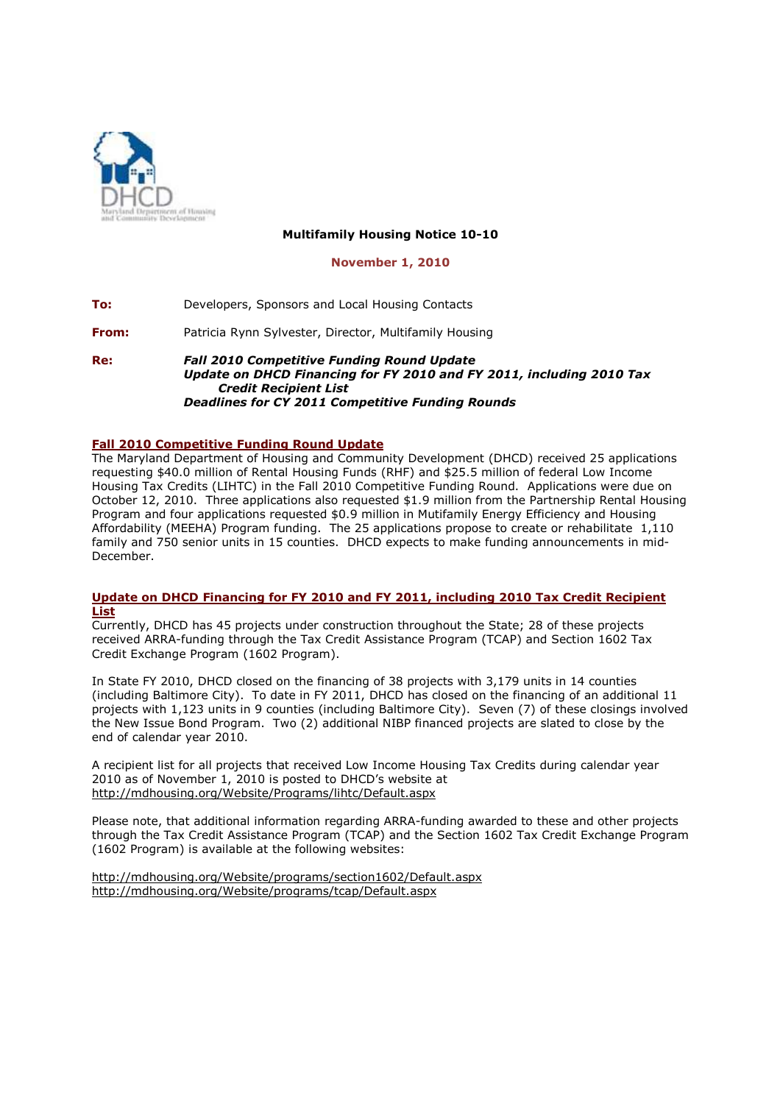

# **Multifamily Housing Notice 10-10**

#### **November 1, 2010**

**To:** Developers, Sponsors and Local Housing Contacts

**From:** Patricia Rynn Sylvester, Director, Multifamily Housing

**Re:** *Fall 2010 Competitive Funding Round Update Update on DHCD Financing for FY 2010 and FY 2011, including 2010 Tax Credit Recipient List Deadlines for CY 2011 Competitive Funding Rounds* 

## **Fall 2010 Competitive Funding Round Update**

The Maryland Department of Housing and Community Development (DHCD) received 25 applications requesting \$40.0 million of Rental Housing Funds (RHF) and \$25.5 million of federal Low Income Housing Tax Credits (LIHTC) in the Fall 2010 Competitive Funding Round. Applications were due on October 12, 2010. Three applications also requested \$1.9 million from the Partnership Rental Housing Program and four applications requested \$0.9 million in Mutifamily Energy Efficiency and Housing Affordability (MEEHA) Program funding. The 25 applications propose to create or rehabilitate 1,110 family and 750 senior units in 15 counties. DHCD expects to make funding announcements in mid-December.

### **Update on DHCD Financing for FY 2010 and FY 2011, including 2010 Tax Credit Recipient List**

Currently, DHCD has 45 projects under construction throughout the State; 28 of these projects received ARRA-funding through the Tax Credit Assistance Program (TCAP) and Section 1602 Tax Credit Exchange Program (1602 Program).

In State FY 2010, DHCD closed on the financing of 38 projects with 3,179 units in 14 counties (including Baltimore City). To date in FY 2011, DHCD has closed on the financing of an additional 11 projects with 1,123 units in 9 counties (including Baltimore City). Seven (7) of these closings involved the New Issue Bond Program. Two (2) additional NIBP financed projects are slated to close by the end of calendar year 2010.

A recipient list for all projects that received Low Income Housing Tax Credits during calendar year 2010 as of November 1, 2010 is posted to DHCD's website at http://mdhousing.org/Website/Programs/lihtc/Default.aspx

Please note, that additional information regarding ARRA-funding awarded to these and other projects through the Tax Credit Assistance Program (TCAP) and the Section 1602 Tax Credit Exchange Program (1602 Program) is available at the following websites:

http://mdhousing.org/Website/programs/section1602/Default.aspx http://mdhousing.org/Website/programs/tcap/Default.aspx